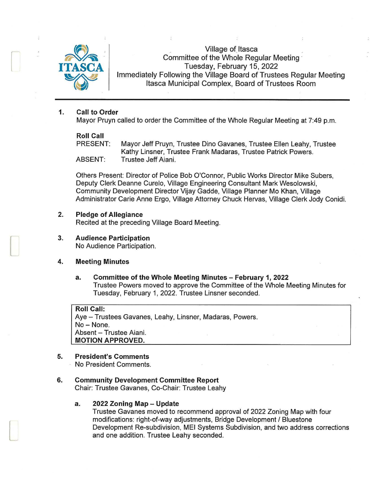

Village of Itasca Committee of the Whole Regular Meeting · Tuesday, February 15, 2022 Immediately Following the Village Board of Trustees Regular Meeting Itasca Municipal Complex, Board of Trustees Room

## **1. Call to Order**

Mayor Pruyn called to order the Committee of the Whole Regular Meeting at 7:49 p.m.

## **Roll Call**

PRESENT: Mayor Jeff Pruyn, Trustee Dino Gavanes, Trustee Ellen Leahy, Trustee Kathy Linsner, Trustee Frank Madaras, Trustee Patrick Powers. ABSENT: Trustee Jeff Aiani.

others Present: Director of Police Bob O'Connor, Public Works Director Mike Subers, Deputy Clerk Deanne Curelo, Village Engineering Consultant Mark Wesolowski, Community Development Director Vijay Gadde, Village Planner Mo Khan, Village Administrator Carie Anne Ergo, Village Attorney Chuck Hervas, Village Clerk Jody Conidi.

- **2. Pledge of Allegiance**  Recited at the preceding Village Board Meeting.
- **3. Audience Participation**  No Audience Participation.

### **4. Meeting Minutes**

 $\Box$ 

 $\Box$ 

**a. Committee of the Whole Meeting Minutes - February 1, 2022**  Trustee Powers moved to approve the Committee of the Whole Meeting Minutes for Tuesday, February 1, 2022. Trustee Linsner seconded.

**Roll Call:**  Aye - Trustees Gavanes, Leahy, Linsner, Madaras, Powers. No-None. Absent - Trustee Aiani. **MOTION APPROVED.** 

# **5. President's Comments**

No President Comments.

## **6. Community Development Committee Report**

Chair: Trustee Gavanes, Co-Chair: Trustee Leahy

### **a. 2022 Zoning Map - Update**

Trustee Gavanes moved to recommend approval of 2022 Zoning Map with four modifications: right-of-way adjustments, Bridge Development / Bluestone Development Re-subdivision, MEI Systems Subdivision, and two address corrections and one addition. Trustee Leahy seconded.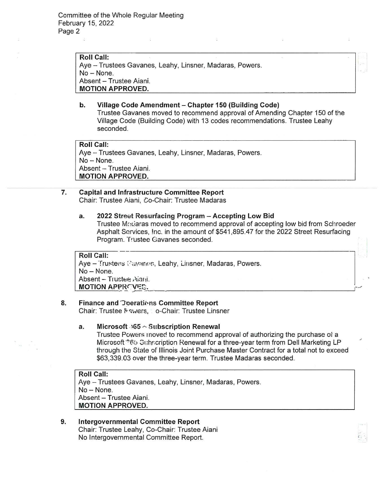Roll Call: Aye - Trustees Gavanes, Leahy, Linsner, Madaras, Powers. No - None. Absent - Trustee Aiani. MOTION APPROVED.

b. Village Code Amendment - Chapter 150 (Building Code) Trustee Gavanes moved to recommend approval of Amending Chapter 150 of the Village Code (Building Code) with 13 codes recommendations. Trustee Leahy seconded.

Roll Call: Aye - Trustees Gavanes, Leahy, Linsner, Madaras, Powers. No - None. Absent - Trustee Aiani. MOTION APPROVED.

### 7. Capital and Infrastructure Committee Report Chair: Trustee Aiani, Co-Chair: Trustee Madaras

### a. 2022 Street Resurfacing Program - Accepting Low Bid

Trustee Madaras moved to recommend approval of accepting low bid from Schroeder Asphalt Services, !nc. in the amount of \$541 ,895.47 for the 2022 Street Resurfacing Program. Trustee Gavanes seconded.

Roll Call: Aye – Trustees Cavanes, Leahy, Linsner, Madaras, Powers. No-None. Absent - Trustee Aiani. Roll Call:<br>Aye – Trustees Cavanes, Leahy, Linsner, Madaras, Powers.<br>No – None.<br>Absent – Trustee Aiani.<br><mark>MOTION APPRCVES.</mark>

# 8. Finance and Joerations Committee Report

 $\sim$ 

Chair: Trustee Fowers, Co-Chair: Trustee Linsner

## a. Microsoft  $\sqrt{65}$   $\sim$  Subscription Renewal

Trustee Powers inoved to recommend approval of authorizing the purchase of a Microsoft "65 Subscription Renewal for a three-year term from Dell Marketing LP through the State of Illinois Joint Purchase Master Contract for a total not to exceed \$63,339.03 over the three-year term. Trustee Madaras seconded.

Roll Call: Aye - Trustees Gavanes, Leahy, Linsner, Madaras, Powers. No-None. Absent - Trustee Aiani. MOTION APPROVED.

9. Intergovernmental Committee Report Chair: Trustee Leahy, Co-Chair: Trustee Aiani No Intergovernmental Committee Report.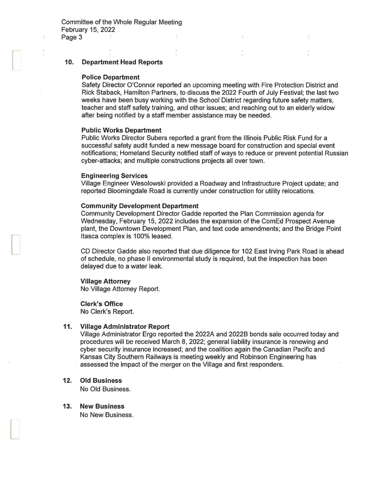### 10. Department Head Reports

#### Police Department

 $\cup$ 

[

 $\Box$ 

Safety Director O'Connor reported an upcoming meeting with Fire Protection District and Rick Staback, Hamilton Partners, to discuss the 2022 Fourth of July Festival; the last two weeks have been busy working with the School District regarding future safety matters, teacher and staff safety training, and other issues; and reaching out to an elderly widow after being notified by a staff member assistance may be needed.

#### Public Works Department

Public Works Director Subers reported a grant from the Illinois Public Risk Fund for a successful safety audit funded a new message board for construction and special event notifications; Homeland Security notified staff of ways to reduce or prevent potential Russian cyber-attacks; and multiple constructions projects all over town.

#### Engineering Services

Village Engineer Wesolowski provided a Roadway and Infrastructure Project update; and reported Bloomingdale Road is currently under construction for utility relocations.

#### Community Development Department

Community Development Director Gadde reported the Plan Commission agenda for Wednesday, February 15, 2022 includes the expansion of the ComEd Prospect Avenue plant, the Downtown Development Plan, and text code amendments; and the Bridge Point Itasca complex is 100% leased.

CD Director Gadde also reported that due diligence for 102 East Irving Park Road is ahead of schedule, no phase II environmental study is required, but the inspection has been delayed due to a water leak.

#### Village Attorney

No Village Attorney Report.

#### Clerk's Office

No Clerk's Report.

#### 11. Village Administrator Report

Village Administrator Ergo reported the 2022A and 2022B bonds sale occurred today and procedures will be received March 8, 2022; general liability insurance is renewing and cyber security insurance increased; and the coalition again the Canadian Pacific and Kansas City Southern Railways is meeting weekly and Robinson Engineering has assessed the impact of the merger on the Village and first responders.

### 12. Old Business

No Old Business.

13. New Business No New Business.